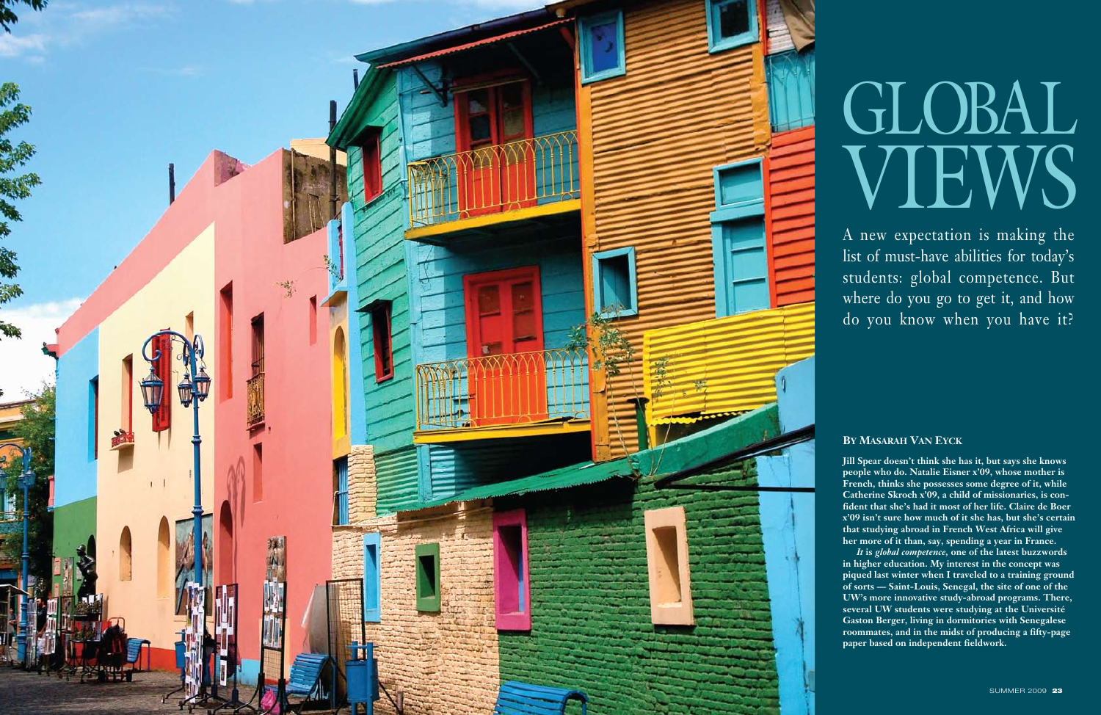

# GLOBAL VIEWS

**Jill Spear doesn't think she has it, but says she knows people who do. Natalie Eisner x'09, whose mother is French, thinks she possesses some degree of it, while Catherine Skroch x'09, a child of missionaries, is con fident that she's had it most of her life. Claire de Boer x'09 isn't sure how much of it she has, but she's certain that studying abroad in French West Africa will give her more of it than, say, spending a year in France.**

*It* **is** *global competence,* **one of the latest buzzwords in higher education. My interest in the concept was piqued last winter when I traveled to a training ground of sorts — Saint-Louis, Senegal, the site of one of the UW's more innovative study-abroad programs. There, several UW students were studying at the Université Gaston Berger, living in dormitories with Senegalese roommates, and in the midst of producing a fifty-page paper based on independent fieldwork.**

A new expectation is making the list of must-have abilities for today's students: global competence. But where do you go to get it, and how do you know when you have it?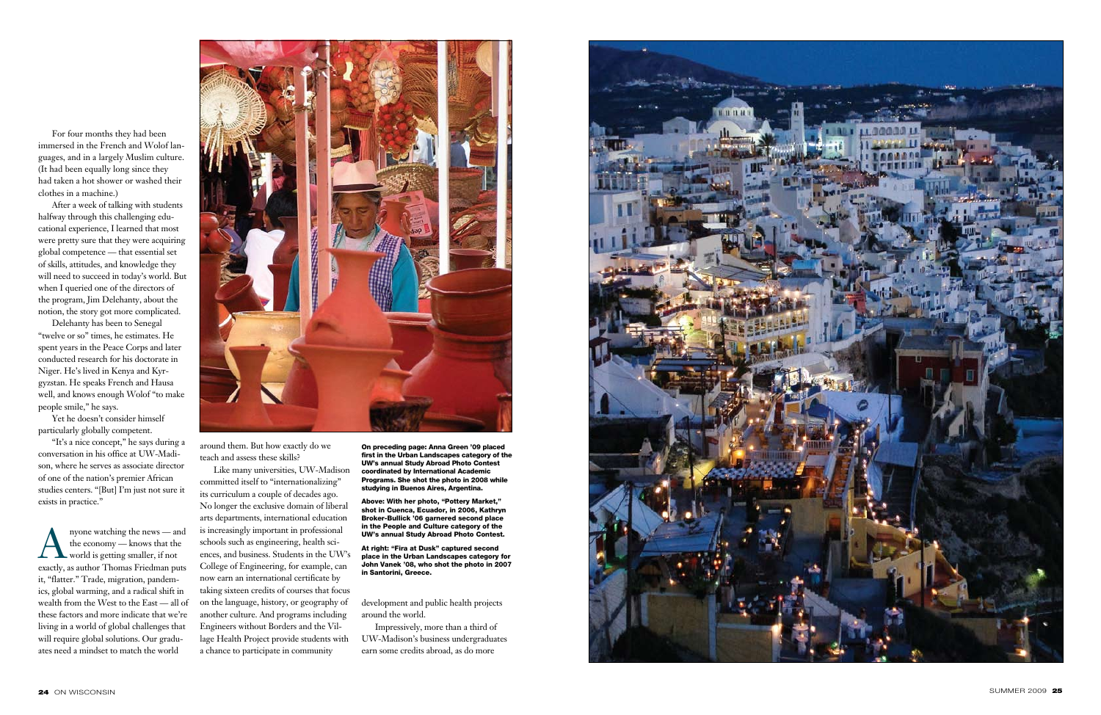For four months they had been immersed in the French and Wolof lan guages, and in a largely Muslim culture. (It had been equally long since they had taken a hot shower or washed their clothes in a machine.)

After a week of talking with students halfway through this challenging edu cational experience, I learned that most were pretty sure that they were acquiring global competence — that essential set of skills, attitudes, and knowledge they will need to succeed in today's world. But when I queried one of the directors of the program, Jim Delehanty, about the notion, the story got more complicated.

Delehanty has been to Senegal "twelve or so" times, he estimates. He spent years in the Peace Corps and later conducted research for his doctorate in Niger. He's lived in Kenya and Kyr gyzstan. He speaks French and Hausa well, and knows enough Wolof "to make people smile," he says.

Auyone watching the news — and<br>the economy — knows that the<br>world is getting smaller, if not<br>exactly as author Thomas Friedman puts the economy — knows that the exactly, as author Thomas Friedman puts it, "flatter." Trade, migration, pandem ics, global warming, and a radical shift in wealth from the West to the East — all of these factors and more indicate that we're living in a world of global challenges that will require global solutions. Our gradu ates need a mindset to match the world



Yet he doesn't consider himself particularly globally competent.

"It's a nice concept," he says during a conversation in his office at UW-Madi son, where he serves as associate director of one of the nation's premier African studies centers. "[But] I'm just not sure it exists in practice."

around them. But how exactly do we teach and assess these skills?

Like many universities, UW-Madison committed itself to "internationalizing" its curriculum a couple of decades ago. No longer the exclusive domain of liberal arts departments, international education is increasingly important in professional schools such as engineering, health sci ences, and business. Students in the UW's College of Engineering, for example, can now earn an international certificate by taking sixteen credits of courses that focus on the language, history, or geography of another culture. And programs including Engineers without Borders and the Vil lage Health Project provide students with a chance to participate in community

development and public health projects around the world.

Impressively, more than a third of UW-Madison's business undergraduates earn some credits abroad, as do more



On preceding page: Anna Green '09 placed first in the Urban Landscapes category of the UW's annual Study Abroad Photo Contest coordinated by International Academic Programs. She shot the photo in 2008 while studying in Buenos Aires, Argentina.

Above: With her photo, "Pottery Market," shot in Cuenca, Ecuador, in 2006, Kathryn Broker-Bullick '06 garnered second place in the People and Culture category of the UW's annual Study Abroad Photo Contest.

At right: "Fira at Dusk" captured second place in the Urban Landscapes category for John Vanek '08, who shot the photo in 2007 in Santorini, Greece.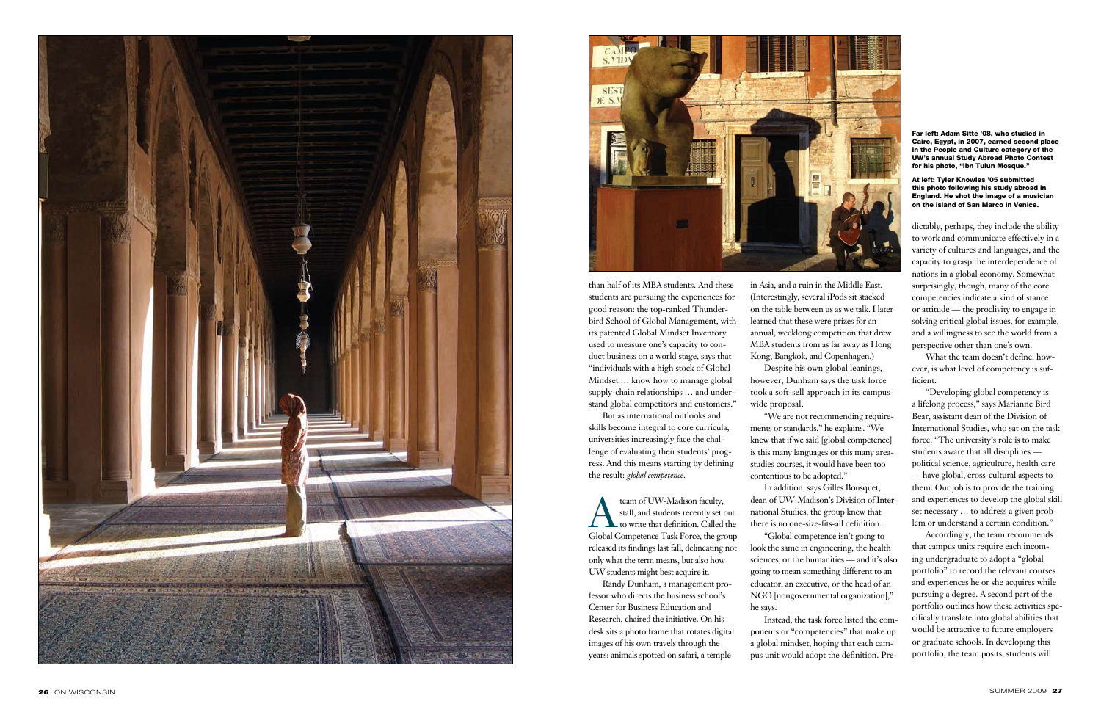



than half of its MBA students. And these students are pursuing the experiences for good reason: the top-ranked Thunder bird School of Global Management, with its patented Global Mindset Inventory used to measure one's capacity to con duct business on a world stage, says that "individuals with a high stock of Global Mindset … know how to manage global supply-chain relationships … and under stand global competitors and customers."

team of UW-Madison faculty,<br>staff, and students recently set c<br>to write that definition. Called staff, and students recently set out to write that definition. Called the Global Competence Task Force, the group released its findings last fall, delineating not only what the term means, but also how UW students might best acquire it.

But as international outlooks and skills become integral to core curricula, universities increasingly face the chal lenge of evaluating their students' prog ress. And this means starting by defining the result: *global competence* .

Randy Dunham, a management pro fessor who directs the business school's Center for Business Education and Research, chaired the initiative. On his desk sits a photo frame that rotates digital images of his own travels through the years: animals spotted on safari, a temple

in Asia, and a ruin in the Middle East. (Interestingly, several iPods sit stacked on the table between us as we talk. I later learned that these were prizes for an annual, weeklong competition that drew MBA students from as far away as Hong Kong, Bangkok, and Copenhagen.) Despite his own global leanings, however, Dunham says the task force took a soft-sell approach in its campus -

wide proposal.

"We are not recommending require ments or standards," he explains. "We knew that if we said [global competence] is this many languages or this many areastudies courses, it would have been too contentious to be adopted."

In addition, says Gilles Bousquet, dean of UW-Madison's Division of Inter national Studies, the group knew that there is no one-size-fits-all definition. "Global competence isn't going to look the same in engineering, the health sciences, or the humanities — and it's also going to mean something different to an educator, an executive, or the head of an NGO [nongovernmental organization],"

he says.

Instead, the task force listed the com ponents or "competencies" that make up a global mindset, hoping that each cam pus unit would adopt the definition. Pre -

dictably, perhaps, they include the ability to work and communicate effectively in a variety of cultures and languages, and the capacity to grasp the interdependence of nations in a global economy. Somewhat surprisingly, though, many of the core competencies indicate a kind of stance or attitude — the proclivity to engage in solving critical global issues, for example, and a willingness to see the world from a perspective other than one's own.

What the team doesn't define, how ever, is what level of competency is sufficient.

"Developing global competency is a lifelong process," says Marianne Bird Bear, assistant dean of the Division of International Studies, who sat on the task force. "The university's role is to make students aware that all disciplines political science, agriculture, health care — have global, cross-cultural aspects to them. Our job is to provide the training and experiences to develop the global skill set necessary … to address a given prob lem or understand a certain condition."

Accordingly, the team recommends that campus units require each incom ing undergraduate to adopt a "global portfolio" to record the relevant courses and experiences he or she acquires while pursuing a degree. A second part of the portfolio outlines how these activities spe cifically translate into global abilities that would be attractive to future employers or graduate schools. In developing this portfolio, the team posits, students will

### Far left: Adam Sitte '08, who studied in Cairo, Egypt, in 2007, earned second place in the People and Culture category of the UW's annual Study Abroad Photo Contest for his photo, "Ibn Tulun Mosque."

## At left: Tyler Knowles '05 submitted this photo following his study abroad in England. He shot the image of a musician on the island of San Marco in Venice.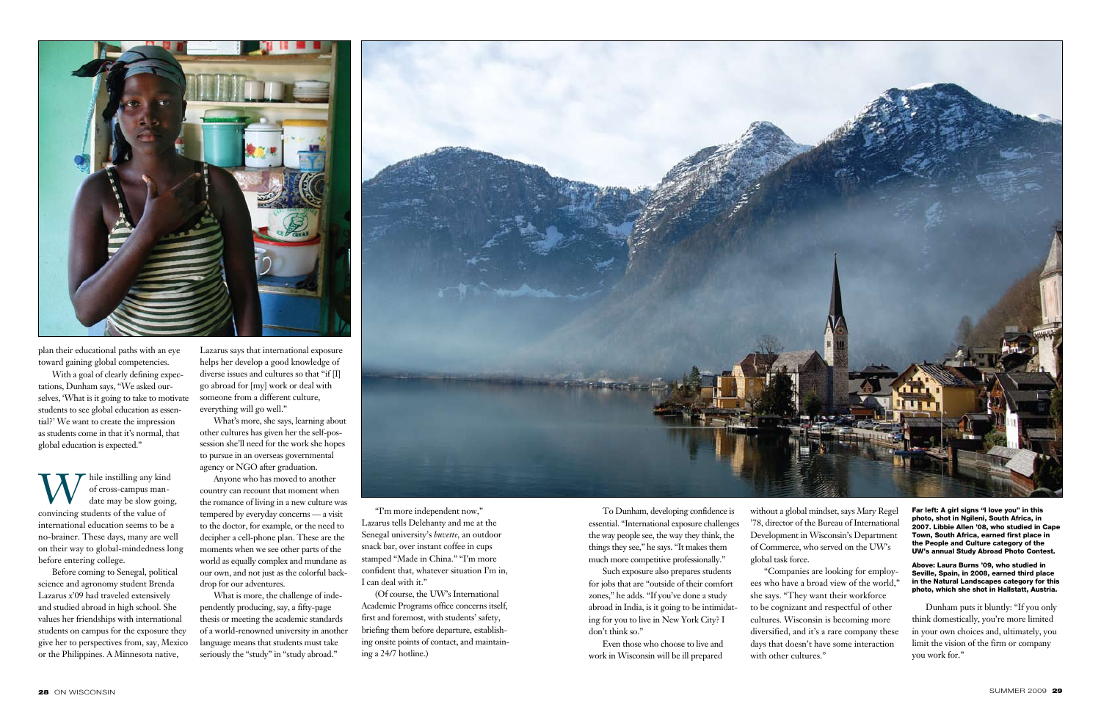To Dunham, developing confidence is essential. "International exposure challenges the way people see, the way they think, the things they see," he says. "It makes them much more competitive professionally."

Such exposure also prepares students for jobs that are "outside of their comfort zones," he adds. "If you've done a study abroad in India, is it going to be intimidating for you to live in New York City? I don't think so."

Even those who choose to live and work in Wisconsin will be ill prepared without a global mindset, says Mary Regel '78, director of the Bureau of International Development in Wisconsin's Department of Commerce, who served on the UW's global task force.

"Companies are looking for employees who have a broad view of the world," to be cognizant and respectful of other cultures. Wisconsin is becoming more diversified, and it's a rare company these days that doesn't have some interaction

W hile instilling any kind<br>of cross-campus man-<br>date may be slow going of cross-campus mandate may be slow going, convincing students of the value of international education seems to be a no-brainer. These days, many are well on their way to global-mindedness long before entering college.

> she says. "They want their workforce with other cultures."

Dunham puts it bluntly: "If you only think domestically, you're more limited in your own choices and, ultimately, you limit the vision of the firm or company you work for."



plan their educational paths with an eye toward gaining global competencies.

With a goal of clearly defining expectations, Dunham says, "We asked ourselves, 'What is it going to take to motivate students to see global education as essential?' We want to create the impression as students come in that it's normal, that global education is expected."

Before coming to Senegal, political science and agronomy student Brenda Lazarus x'09 had traveled extensively and studied abroad in high school. She values her friendships with international students on campus for the exposure they give her to perspectives from, say, Mexico or the Philippines. A Minnesota native,

Lazarus says that international exposure helps her develop a good knowledge of diverse issues and cultures so that "if [I] go abroad for [my] work or deal with someone from a different culture, everything will go well."

What's more, she says, learning about other cultures has given her the self-possession she'll need for the work she hopes to pursue in an overseas governmental agency or NGO after graduation.

Anyone who has moved to another country can recount that moment when the romance of living in a new culture was tempered by everyday concerns — a visit to the doctor, for example, or the need to decipher a cell-phone plan. These are the moments when we see other parts of the world as equally complex and mundane as our own, and not just as the colorful backdrop for our adventures.

What is more, the challenge of independently producing, say, a fifty-page thesis or meeting the academic standards of a world-renowned university in another language means that students must take seriously the "study" in "study abroad."



"I'm more independent now," Lazarus tells Delehanty and me at the Senegal university's *buvette,* an outdoor snack bar, over instant coffee in cups stamped "Made in China." "I'm more confident that, whatever situation I'm in, I can deal with it."

(Of course, the UW's International Academic Programs office concerns itself, first and foremost, with students' safety, briefing them before departure, establishing onsite points of contact, and maintaining a 24/7 hotline.)

Far left: A girl signs "I love you" in this photo, shot in Ngileni, South Africa, in 2007. Libbie Allen '08, who studied in Cape Town, South Africa, earned first place in the People and Culture category of the UW's annual Study Abroad Photo Contest.

Above: Laura Burns '09, who studied in Seville, Spain, in 2008, earned third place in the Natural Landscapes category for this photo, which she shot in Hallstatt, Austria.